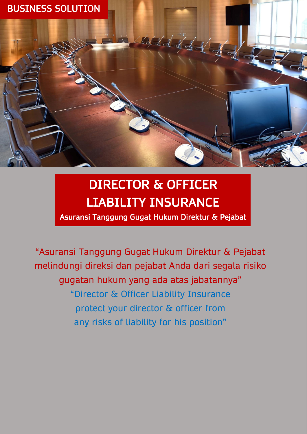

# DIRECTOR & OFFICER LIABILITY INSURANCE

Asuransi Tanggung Gugat Hukum Direktur & Pejabat

"Asuransi Tanggung Gugat Hukum Direktur & Pejabat melindungi direksi dan pejabat Anda dari segala risiko gugatan hukum yang ada atas jabatannya" "Director & Officer Liability Insurance protect your director & officer from any risks of liability for his position"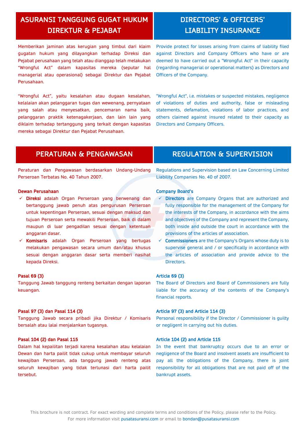## ASURANSI TANGGUNG GUGAT HUKUM DIREKTUR & PEJABAT

## Memberikan jaminan atas kerugian yang timbul dari klaim gugatan hukum yang dilayangkan terhadap Direksi dan Pejabat perusahaan yang telah atau dianggap telah melakukan "Wrongful Act" dalam kapasitas mereka (seputar hal managerial atau operasional) sebagai Direktur dan Pejabat Perusahaan.

"Wrongful Act", yaitu kesalahan atau dugaan kesalahan, kelalaian akan pelanggaran tugas dan wewenang, pernyataan yang salah atau menyesatkan, pencemaran nama baik, pelanggaran praktik ketenagakerjaan, dan lain lain yang diklaim terhadap tertanggung yang terkait dengan kapasitas mereka sebagai Direktur dan Pejabat Perusahaan.

Provide protect for losses arising from claims of liability filed against Directors and Company Officers who have or are deemed to have carried out a "Wrongful Act" in their capacity (regarding managerial or operational matters) as Directors and Officers of the Company.

"Wrongful Act", i.e. mistakes or suspected mistakes, negligence of violations of duties and authority, false or misleading statements, defamation, violations of labor practices, and others claimed against insured related to their capacity as Directors and Company Officers.

Peraturan dan Pengawasan berdasarkan Undang-Undang Perseroan Terbatas No. 40 Tahun 2007.

## Dewan Perusahaan

- ✓ Direksi adalah Organ Perseroan yang berwenang dan bertanggung jawab penuh atas pengurusan Perseroan untuk kepentingan Perseroan, sesuai dengan maksud dan tujuan Perseroan serta mewakili Perseroan, baik di dalam maupun di luar pengadilan sesuai dengan ketentuan anggaran dasar.
- ✓ Komisaris adalah Organ Perseroan yang bertugas melakukan pengawasan secara umum dan/atau khusus sesuai dengan anggaran dasar serta memberi nasihat kepada Direksi.

#### Pasal 69 (3)

Tanggung Jawab tanggung renteng berkaitan dengan laporan keuangan.

#### Pasal 97 (3) dan Pasal 114 (3)

Tanggung Jawab secara pribadi jika Direktur / Komisaris bersalah atau lalai menjalankan tugasnya.

### Pasal 104 (2) dan Pasal 115

Dalam hal kepailitan terjadi karena kesalahan atau kelalaian Dewan dan harta pailit tidak cukup untuk membayar seluruh kewajiban Perseroan, ada tanggung jawab renteng atas seluruh kewajiban yang tidak terlunasi dari harta pailit tersebut.

## PERATURAN & PENGAWASAN REGULATION & SUPERVISION

Regulations and Supervision based on Law Concerning Limited Liability Companies No. 40 of 2007.

### Company Board's

- Directors are Company Organs that are authorized and fully responsible for the management of the Company for the interests of the Company, in accordance with the aims and objectives of the Company and represent the Company, both inside and outside the court in accordance with the provisions of the articles of association.
- $\checkmark$  Commissioners are the Company's Organs whose duty is to supervise general and / or specifically in accordance with the articles of association and provide advice to the Directors.

#### Article 69 (3)

The Board of Directors and Board of Commissioners are fully liable for the accuracy of the contents of the Company's financial reports.

### Article 97 (3) and Article 114 (3)

Personal responsibility if the Director / Commissioner is guilty or negligent in carrying out his duties.

#### Article 104 (2) and Article 115

In the event that bankruptcy occurs due to an error or negligence of the Board and insolvent assets are insufficient to pay all the obligations of the Company, there is joint responsibility for all obligations that are not paid off of the bankrupt assets.

## DIRECTORS' & OFFICERS' LIABILITY INSURANCE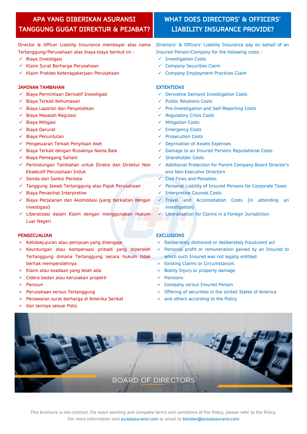## APA YANG DIBERIKAN ASURANSI TANGGUNG GUGAT DIREKTUR & PEJABAT?

## WHAT DOES DIRECTORS' & OFFICERS' LIABILITY INSURANCE PROVIDE?

Director & Officer Liability Insurance membayar atas nama Tertanggung/Perusahaan atas biaya-biaya berikut ini :

- ✓ Biaya Investigasi
- ✓ Klaim Surat Berharga Perusahaan
- ✓ Klaim Praktek Ketenagakerjaan Perusahaan

## JAMINAN TAMBAHAN

- ✓ Biaya Permintaan Derivatif Investigasi
- ✓ Biaya Terkait Kehumasan
- ✓ Biaya Laporan dan Penyelidikan
- ✓ Biaya Masalah Regulasi
- ✓ Biaya Mitigasi
- ✓ Biaya Darurat
- ✓ Biaya Penuntutan
- ✓ Pengeluaran Terkait Penyitaan Aset
- ✓ Biaya Terkait dengan Rusaknya Nama Baik
- ✓ Biaya Pemegang Saham
- ✓ Perlindungan Tambahan untuk Direksi dan Direktur Non Eksekutif Perusahaan Induk
- ✓ Denda dan Sanksi Perdata
- ✓ Tanggung Jawab Tertanggung atas Pajak Perusahaan
- ✓ Biaya Penasihat Interpretive
- ✓ Biaya Perjalanan dan Akomodasi (yang berkaitan dengan investigasi)
- ✓ Liberalisasi dalam Klaim dengan menggunakan Hukum Luar Negeri

## PENGECUALIAN

- × Ketidakjujuran atau penipuan yang disengaja
- Keuntungan atau kompensasi pribadi yang diperoleh Tertanggung dimana Tertanggung secara hukum tidak berhak memperolehnya
- × Klaim atau keadaan yang telah ada
- × Cidera badan atau kerusakan properti
- × Pensiun
- Perusahaan versus Tertanggung
- × Penawaran surat berharga di Amerika Serikat
- × dan lainnya sesuai Polis

### **EXCLUSIONS**

- × Deliberately dishonest or deliberately fraudulent act
- × Personal profit or remuneration gained by an Insured to which such Insured was not legally entitled.
- × Existing Claims or Circumstances
- × Bodily Injury or property damage
- × Pensions
- × Company versus Insured Person
- × Offering of securities in the United States of America
- × and others according to the Policy



This brochure is not contract. For exact wording and complete terms and conditions of the Policy, please refer to the Policy. For more information visit [pusatasuransi.com](http://pusatasuransi.com/) or email to [bondan@pusatasuransi.com](mailto:bondan@pusatasuransi.com)

- Directors' & Officers' Liability Insurance pay on behalf of an Insured Person/Company for the following costs :
- ✓ Investigation Costs
- ✓ Company Securities Claim
- ✓ Company Employment Practices Claim

## **EXTENTIONS**

- ✓ Derivative Demand Investigation Costs
- ✓ Public Relations Costs
- ✓ Pre-Investigation and Self-Reporting Costs
- ✓ Regulatory Crisis Costs
- ✓ Mitigation Costs
- ✓ Emergency Costs
- ✓ Prosecution Costs
- ✓ Deprivation of Assets Expenses
- ✓ Damage to an Insured Persons Reputational Costs
- ✓ Shareholder Costs
- ✓ Additional Protection for Parent Company Board Director's and Non-Executive Directors
- ✓ Civil Fines and Penalties
- ✓ Personal Liability of Insured Persons for Corporate Taxes
- ✓ Interpretive Counsel Costs
- $\checkmark$  Travel and Accomodation Costs (in attending an investigation)
- ✓ Liberalisation for Claims in a Foreign Jurisdiction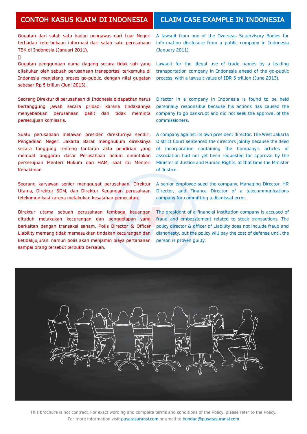## CONTOH KASUS KLAIM DI INDONESIA | CLAIM CASE EXAMPLE IN INDONESIA

Gugatan dari salah satu badan pengawas dari Luar Negeri terhadap keterbukaan informasi dari salah satu perusahaan TBK di Indonesia (Januari 2011).

 $\Box$ 

Gugatan penggunaan nama dagang secara tidak sah yang dilakukan oleh sebuah perusahaan transportasi terkemuka di Indonesia menjelang proses go-public, dengan nilai gugatan sebesar Rp 5 triliun (Juni 2013).

Seorang Direktur di perusahaan di Indonesia didapatkan harus bertanggung jawab secara pribadi karena tindakannya menyebabkan perusahaan pailit dan tidak meminta persetujuan komisaris.

Suatu perusahaan melawan presiden direkturnya sendiri. Pengadilan Negeri Jakarta Barat menghukum direksinya secara tanggung renteng lantaran akta pendirian yang memuat anggaran dasar Perusahaan belum dimintakan persetujuan Menteri Hukum dan HAM, saat itu Menteri Kehakiman.

Seorang karyawan senior menggugat perusahaan, Direktur Utama, Direktur SDM, dan Direktur Keuangan perusahaan telekomunikasi karena melakukan kesalahan pemecatan.

Direktur utama sebuah perusahaan lembaga keuangan dituduh melakukan kecurangan dan penggelapan yang berkaitan dengan transaksi saham. Polis Director & Officer Liability memang tidak memasukkan tindakan kecurangan dan ketidakjujuran, namun polis akan menjamin biaya pertahanan sampai orang tersebut terbukti bersalah.

A lawsuit from one of the Overseas Supervisory Bodies for information disclosure from a public company in Indonesia (January 2011).

Lawsuit for the illegal use of trade names by a leading transportation company in Indonesia ahead of the go-public process, with a lawsuit value of IDR 5 trillion (June 2013).

Director in a company in Indonesia is found to be held personally responsible because his actions has caused the company to go bankrupt and did not seek the approval of the commissioners.

A company against its own president director. The West Jakarta District Court sentenced the directors jointly because the deed of incorporation containing the Company's articles of association had not yet been requested for approval by the Minister of Justice and Human Rights, at that time the Minister of Justice.

A senior employee sued the company, Managing Director, HR Director, and Finance Director of a telecommunications company for committing a dismissal error.

The president of a financial institution company is accused of fraud and embezzlement related to stock transactions. The policy director & officer of Liability does not include fraud and dishonesty, but the policy will pay the cost of defense until the person is proven guilty.



This brochure is not contract. For exact wording and complete terms and conditions of the Policy, please refer to the Policy. For more information visit [pusatasuransi.com](http://pusatasuransi.com/) or email to [bondan@pusatasuransi.com](mailto:bondan@pusatasuransi.com)